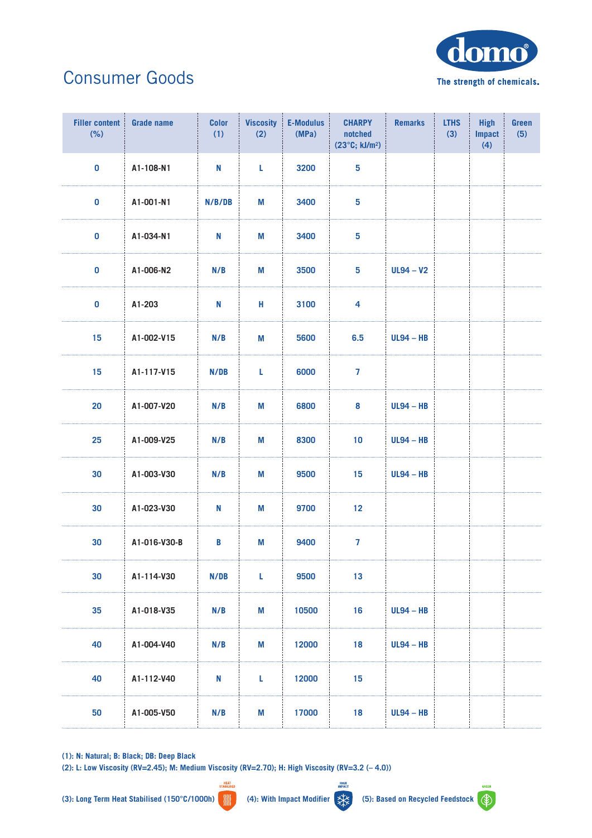

## Consumer Goods

| <b>Filler content</b><br>(% ) | <b>Grade name</b> | <b>Color</b><br>(1) | <b>Viscosity</b><br>(2) | E-Modulus<br>(MPa) | <b>CHARPY</b><br>notched<br>$(23^{\circ}C; kJ/m^2)$ | <b>Remarks</b> | <b>LTHS</b><br>(3) | <b>High</b><br><b>Impact</b><br>(4) | Green<br>(5) |
|-------------------------------|-------------------|---------------------|-------------------------|--------------------|-----------------------------------------------------|----------------|--------------------|-------------------------------------|--------------|
| $\pmb{0}$                     | A1-108-N1         | N                   | L                       | 3200               | $\overline{\mathbf{5}}$                             |                |                    |                                     |              |
| $\pmb{0}$                     | A1-001-N1         | N/B/DB              | M                       | 3400               | $5\phantom{a}$                                      |                |                    |                                     |              |
| $\pmb{0}$                     | A1-034-N1         | N                   | M                       | 3400               | $\overline{\mathbf{5}}$                             |                |                    |                                     |              |
| $\pmb{0}$                     | A1-006-N2         | N/B                 | M                       | 3500               | $5\phantom{a}$                                      | $UL94 - V2$    |                    |                                     |              |
| $\pmb{0}$                     | A1-203            | N                   | Н                       | 3100               | $\overline{\mathbf{4}}$                             |                |                    |                                     |              |
| 15                            | A1-002-V15        | N/B                 | M                       | 5600               | 6.5                                                 | $UL94 - HB$    |                    |                                     |              |
| 15                            | A1-117-V15        | N/DB                | L                       | 6000               | $\overline{7}$                                      |                |                    |                                     |              |
| 20                            | A1-007-V20        | N/B                 | M                       | 6800               | 8                                                   | $UL94 - HB$    |                    |                                     |              |
| 25                            | A1-009-V25        | N/B                 | M                       | 8300               | 10                                                  | $UL94 - HB$    |                    |                                     |              |
| 30                            | A1-003-V30        | N/B                 | M                       | 9500               | 15                                                  | $UL94 - HB$    |                    |                                     |              |
| 30                            | A1-023-V30        | N                   | M                       | 9700               | 12                                                  |                |                    |                                     |              |
| 30                            | A1-016-V30-B      | B                   | M                       | 9400               | $\overline{7}$                                      |                |                    |                                     |              |
| 30                            | A1-114-V30        | N/DB                | L                       | 9500               | 13                                                  |                |                    |                                     |              |
| 35                            | A1-018-V35        | N/B                 | M                       | 10500              | 16                                                  | $UL94 - HB$    |                    |                                     |              |
| 40                            | A1-004-V40        | N/B                 | M                       | 12000              | 18                                                  | $UL94 - HB$    |                    |                                     |              |
| 40                            | A1-112-V40        | N                   | L                       | 12000              | 15                                                  |                |                    |                                     |              |
| 50                            | A1-005-V50        | N/B                 | M                       | 17000              | 18                                                  | $UL94 - HB$    |                    |                                     |              |

**(1): N: Natural; B: Black; DB: Deep Black**

**(2): L: Low Viscosity (RV=2.45); M: Medium Viscosity (RV=2.70); H: High Viscosity (RV=3.2 (– 4.0))** HEAT<br>TARILISE



HIGH<br>IMPACT

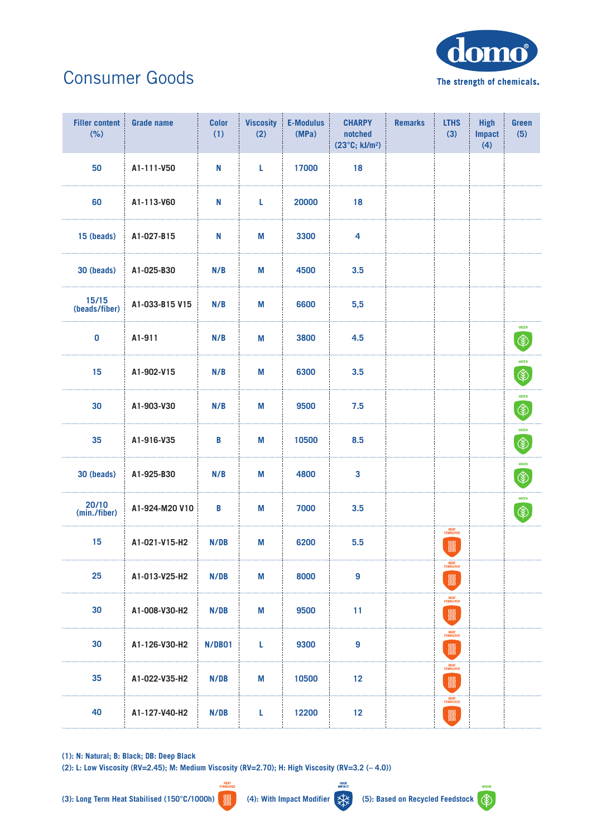

## Consumer Goods

| <b>Filler content</b><br>(% ) | <b>Grade name</b> | <b>Color</b><br>(1) | <b>Viscosity</b><br>(2) | <b>E-Modulus</b><br>(MPa) | <b>CHARPY</b><br>notched<br>(23°C; kJ/m <sup>2</sup> ) | <b>Remarks</b> | <b>LTHS</b><br>(3)                        | <b>High</b><br><b>Impact</b><br>(4) | <b>Green</b><br>(5)           |
|-------------------------------|-------------------|---------------------|-------------------------|---------------------------|--------------------------------------------------------|----------------|-------------------------------------------|-------------------------------------|-------------------------------|
| 50                            | A1-111-V50        | N                   | L                       | 17000                     | 18                                                     |                |                                           |                                     |                               |
| 60                            | A1-113-V60        | N                   | L                       | 20000                     | 18                                                     |                |                                           |                                     |                               |
| 15 (beads)                    | A1-027-B15        | N                   | M                       | 3300                      | $\overline{\mathbf{4}}$                                |                |                                           |                                     |                               |
| 30 (beads)                    | A1-025-B30        | N/B                 | M                       | 4500                      | 3.5                                                    |                |                                           |                                     |                               |
| $15/15$<br>(beads/fiber)      | A1-033-B15 V15    | N/B                 | M                       | 6600                      | 5,5                                                    |                |                                           |                                     |                               |
| $\pmb{0}$                     | A1-911            | N/B                 | M                       | 3800                      | 4.5                                                    |                |                                           |                                     | <b>GREEN</b><br>$\circledast$ |
| 15                            | A1-902-V15        | N/B                 | M                       | 6300                      | 3.5                                                    |                |                                           |                                     | <b>GREEN</b><br>$\circledast$ |
| 30                            | A1-903-V30        | N/B                 | M                       | 9500                      | 7.5                                                    |                |                                           |                                     | <b>GREEN</b><br>$\circledast$ |
| 35                            | A1-916-V35        | B                   | M                       | 10500                     | 8.5                                                    |                |                                           |                                     | <b>GREEN</b><br>$\circledast$ |
| 30 (beads)                    | A1-925-B30        | N/B                 | M                       | 4800                      | 3                                                      |                |                                           |                                     | <b>GREEN</b><br>$\circledast$ |
| 20/10<br>(min./fiber)         | A1-924-M20 V10    | B                   | М                       | 7000                      | 3.5                                                    |                |                                           |                                     | GREEN<br>$\circledast$        |
| 15                            | A1-021-V15-H2     | N/DB                | M                       | 6200                      | 5.5                                                    |                | HEAT<br>STABILISED<br>W                   |                                     |                               |
| 25                            | A1-013-V25-H2     | N/DB                | M                       | 8000                      | 9                                                      |                | HEAT<br>STABILISED<br>$\frac{1000}{2000}$ |                                     |                               |
| 30                            | A1-008-V30-H2     | N/DB                | M                       | 9500                      | 11                                                     |                | HEAT<br>STABILISED                        |                                     |                               |
| 30                            | A1-126-V30-H2     | N/DB01              | L                       | 9300                      | $\boldsymbol{9}$                                       |                | HEAT<br>STABILISED<br>W                   |                                     |                               |
| 35                            | A1-022-V35-H2     | N/DB                | M                       | 10500                     | 12                                                     |                | HEAT<br>STABILISED<br>W                   |                                     |                               |
| 40                            | A1-127-V40-H2     | N/DB                | L                       | 12200                     | 12                                                     |                | HEAT<br>STABILISED<br>$\frac{1}{100}$     |                                     |                               |

**(1): N: Natural; B: Black; DB: Deep Black**

**(2): L: Low Viscosity (RV=2.45); M: Medium Viscosity (RV=2.70); H: High Viscosity (RV=3.2 (– 4.0))** HEAT<br>TARILISE

HIGH<br>IMPACT